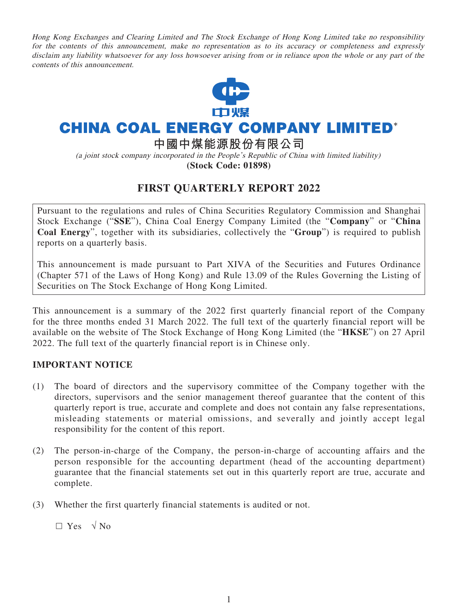Hong Kong Exchanges and Clearing Limited and The Stock Exchange of Hong Kong Limited take no responsibility for the contents of this announcement, make no representation as to its accuracy or completeness and expressly disclaim any liability whatsoever for any loss howsoever arising from or in reliance upon the whole or any part of the contents of this announcement.



# **CHINA COAL ENERGY COMPANY LIMITED\***

**中國中煤能源股份有限公司**

(a joint stock company incorporated in the People's Republic of China with limited liability)

**(Stock Code: 01898)**

# **FIRST QUARTERLY REPORT 2022**

Pursuant to the regulations and rules of China Securities Regulatory Commission and Shanghai Stock Exchange ("**SSE**"), China Coal Energy Company Limited (the "**Company**" or "**China Coal Energy**", together with its subsidiaries, collectively the "**Group**") is required to publish reports on a quarterly basis.

This announcement is made pursuant to Part XIVA of the Securities and Futures Ordinance (Chapter 571 of the Laws of Hong Kong) and Rule 13.09 of the Rules Governing the Listing of Securities on The Stock Exchange of Hong Kong Limited.

This announcement is a summary of the 2022 first quarterly financial report of the Company for the three months ended 31 March 2022. The full text of the quarterly financial report will be available on the website of The Stock Exchange of Hong Kong Limited (the "**HKSE**") on 27 April 2022. The full text of the quarterly financial report is in Chinese only.

## **IMPORTANT NOTICE**

- (1) The board of directors and the supervisory committee of the Company together with the directors, supervisors and the senior management thereof guarantee that the content of this quarterly report is true, accurate and complete and does not contain any false representations, misleading statements or material omissions, and severally and jointly accept legal responsibility for the content of this report.
- (2) The person-in-charge of the Company, the person-in-charge of accounting affairs and the person responsible for the accounting department (head of the accounting department) guarantee that the financial statements set out in this quarterly report are true, accurate and complete.
- (3) Whether the first quarterly financial statements is audited or not.

 $\Box$  Yes  $\sqrt{N_0}$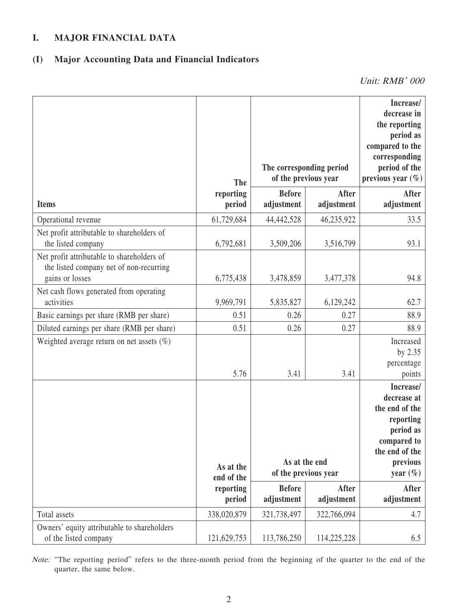# **I. MAJOR FINANCIAL DATA**

# **(I) Major Accounting Data and Financial Indicators**

Unit: RMB' 000

|                                                                                                          | <b>The</b>              | The corresponding period<br>of the previous year |                     | Increase/<br>decrease in<br>the reporting<br>period as<br>compared to the<br>corresponding<br>period of the<br>previous year $(\%)$ |
|----------------------------------------------------------------------------------------------------------|-------------------------|--------------------------------------------------|---------------------|-------------------------------------------------------------------------------------------------------------------------------------|
| <b>Items</b>                                                                                             | reporting<br>period     | <b>Before</b><br>adjustment                      | After<br>adjustment | After<br>adjustment                                                                                                                 |
| Operational revenue                                                                                      | 61,729,684              | 44,442,528                                       | 46,235,922          | 33.5                                                                                                                                |
| Net profit attributable to shareholders of<br>the listed company                                         | 6,792,681               | 3,509,206                                        | 3,516,799           | 93.1                                                                                                                                |
| Net profit attributable to shareholders of<br>the listed company net of non-recurring<br>gains or losses | 6,775,438               | 3,478,859                                        | 3,477,378           | 94.8                                                                                                                                |
| Net cash flows generated from operating<br>activities                                                    | 9,969,791               | 5,835,827                                        | 6,129,242           | 62.7                                                                                                                                |
| Basic earnings per share (RMB per share)                                                                 | 0.51                    | 0.26                                             | 0.27                | 88.9                                                                                                                                |
| Diluted earnings per share (RMB per share)                                                               | 0.51                    | 0.26                                             | 0.27                | 88.9                                                                                                                                |
| Weighted average return on net assets $(\%)$                                                             |                         |                                                  |                     | Increased<br>by 2.35<br>percentage                                                                                                  |
|                                                                                                          | 5.76                    | 3.41                                             | 3.41                | points                                                                                                                              |
|                                                                                                          | As at the<br>end of the | As at the end<br>of the previous year            |                     | Increase/<br>decrease at<br>the end of the<br>reporting<br>period as<br>compared to<br>the end of the<br>previous<br>year $(\% )$   |
|                                                                                                          | reporting<br>period     | <b>Before</b><br>adjustment                      | After<br>adjustment | <b>After</b><br>adjustment                                                                                                          |
| Total assets                                                                                             | 338,020,879             | 321,738,497                                      | 322,766,094         | 4.7                                                                                                                                 |
| Owners' equity attributable to shareholders<br>of the listed company                                     | 121,629,753             | 113,786,250                                      | 114,225,228         | 6.5                                                                                                                                 |

Note: "The reporting period" refers to the three-month period from the beginning of the quarter to the end of the quarter, the same below.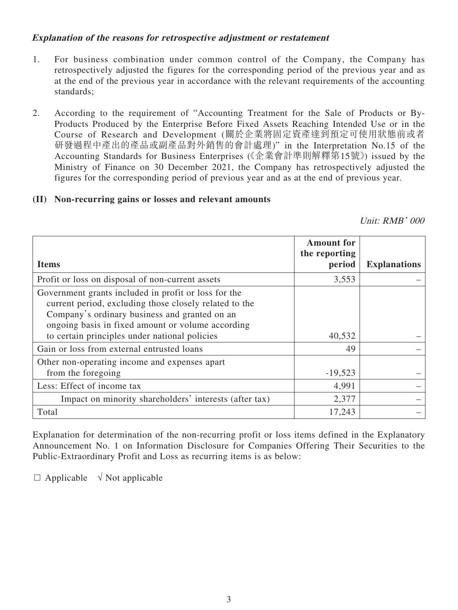## **Explanation of the reasons for retrospective adjustment or restatement**

- 1. For business combination under common control of the Company, the Company has retrospectively adjusted the figures for the corresponding period of the previous year and as at the end of the previous year in accordance with the relevant requirements of the accounting standards;
- 2. According to the requirement of "Accounting Treatment for the Sale of Products or By-Products Produced by the Enterprise Before Fixed Assets Reaching Intended Use or in the Course of Research and Development (關於企業將固定資產達到預定可使用狀態前或者 研發過程中產出的產品或副產品對外銷售的會計處理)" in the Interpretation No.15 of the Accounting Standards for Business Enterprises (《企業會計準則解釋第15號》) issued by the Ministry of Finance on 30 December 2021, the Company has retrospectively adjusted the figures for the corresponding period of previous year and as at the end of previous year.

## **(II) Non-recurring gains or losses and relevant amounts**

Unit: RMB' 000

|                                                                                                                                                                                                                      | <b>Amount for</b><br>the reporting |                     |
|----------------------------------------------------------------------------------------------------------------------------------------------------------------------------------------------------------------------|------------------------------------|---------------------|
| <b>Items</b>                                                                                                                                                                                                         | period                             | <b>Explanations</b> |
| Profit or loss on disposal of non-current assets                                                                                                                                                                     | 3,553                              |                     |
| Government grants included in profit or loss for the<br>current period, excluding those closely related to the<br>Company's ordinary business and granted on an<br>ongoing basis in fixed amount or volume according |                                    |                     |
| to certain principles under national policies                                                                                                                                                                        | 40,532                             |                     |
| Gain or loss from external entrusted loans                                                                                                                                                                           | 49                                 |                     |
| Other non-operating income and expenses apart<br>from the foregoing                                                                                                                                                  | $-19,523$                          |                     |
| Less: Effect of income tax                                                                                                                                                                                           | 4,991                              |                     |
| Impact on minority shareholders' interests (after tax)                                                                                                                                                               | 2,377                              |                     |
| Total                                                                                                                                                                                                                | 17,243                             |                     |

Explanation for determination of the non-recurring profit or loss items defined in the Explanatory Announcement No. 1 on Information Disclosure for Companies Offering Their Securities to the Public-Extraordinary Profit and Loss as recurring items is as below:

 $\Box$  Applicable  $\sqrt{N}$  Not applicable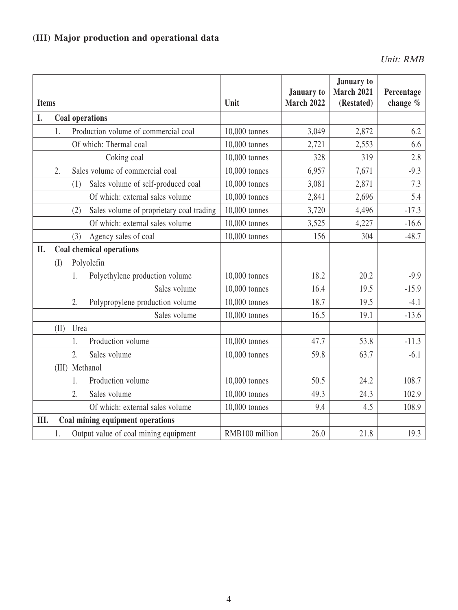# **(III) Major production and operational data**

Unit: RMB

| <b>Items</b> |       |                                                 | Unit           | January to<br><b>March 2022</b> | January to<br><b>March 2021</b><br>(Restated) | Percentage<br>change $%$ |
|--------------|-------|-------------------------------------------------|----------------|---------------------------------|-----------------------------------------------|--------------------------|
| I.           |       | <b>Coal operations</b>                          |                |                                 |                                               |                          |
|              | 1.    | Production volume of commercial coal            | 10,000 tonnes  | 3,049                           | 2,872                                         | 6.2                      |
|              |       | Of which: Thermal coal                          | 10,000 tonnes  | 2,721                           | 2,553                                         | 6.6                      |
|              |       | Coking coal                                     | 10,000 tonnes  | 328                             | 319                                           | 2.8                      |
|              | 2.    | Sales volume of commercial coal                 | 10,000 tonnes  | 6,957                           | 7,671                                         | $-9.3$                   |
|              |       | Sales volume of self-produced coal<br>(1)       | 10,000 tonnes  | 3,081                           | 2,871                                         | 7.3                      |
|              |       | Of which: external sales volume                 | 10,000 tonnes  | 2,841                           | 2,696                                         | 5.4                      |
|              |       | Sales volume of proprietary coal trading<br>(2) | 10,000 tonnes  | 3,720                           | 4,496                                         | $-17.3$                  |
|              |       | Of which: external sales volume                 | 10,000 tonnes  | 3,525                           | 4,227                                         | $-16.6$                  |
|              |       | Agency sales of coal<br>(3)                     | 10,000 tonnes  | 156                             | 304                                           | $-48.7$                  |
| II.          |       | Coal chemical operations                        |                |                                 |                                               |                          |
|              | (I)   | Polyolefin                                      |                |                                 |                                               |                          |
|              |       | Polyethylene production volume<br>1.            | 10,000 tonnes  | 18.2                            | 20.2                                          | $-9.9$                   |
|              |       | Sales volume                                    | 10,000 tonnes  | 16.4                            | 19.5                                          | $-15.9$                  |
|              |       | 2.<br>Polypropylene production volume           | 10,000 tonnes  | 18.7                            | 19.5                                          | $-4.1$                   |
|              |       | Sales volume                                    | 10,000 tonnes  | 16.5                            | 19.1                                          | $-13.6$                  |
|              | (II)  | Urea                                            |                |                                 |                                               |                          |
|              |       | Production volume<br>1.                         | 10,000 tonnes  | 47.7                            | 53.8                                          | $-11.3$                  |
|              |       | 2.<br>Sales volume                              | 10,000 tonnes  | 59.8                            | 63.7                                          | $-6.1$                   |
|              | (III) | Methanol                                        |                |                                 |                                               |                          |
|              |       | Production volume<br>1.                         | 10,000 tonnes  | 50.5                            | 24.2                                          | 108.7                    |
|              |       | 2.<br>Sales volume                              | 10,000 tonnes  | 49.3                            | 24.3                                          | 102.9                    |
|              |       | Of which: external sales volume                 | 10,000 tonnes  | 9.4                             | 4.5                                           | 108.9                    |
| III.         |       | Coal mining equipment operations                |                |                                 |                                               |                          |
|              | 1.    | Output value of coal mining equipment           | RMB100 million | 26.0                            | 21.8                                          | 19.3                     |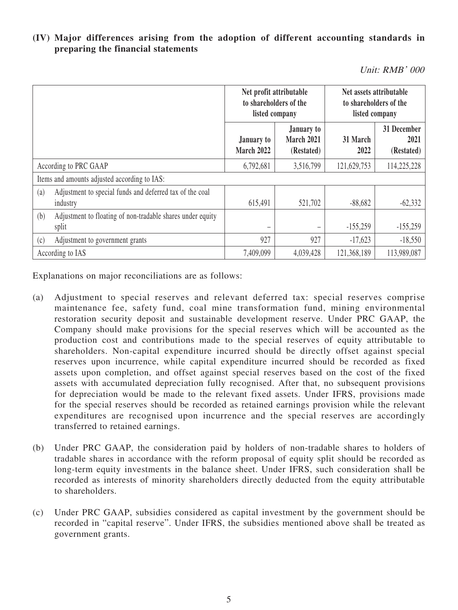## **(IV) Major differences arising from the adoption of different accounting standards in preparing the financial statements**

Unit: RMB' 000

|     |                                                                      | Net profit attributable<br>to shareholders of the<br>listed company |                                        | Net assets attributable<br>to shareholders of the<br>listed company |                                   |
|-----|----------------------------------------------------------------------|---------------------------------------------------------------------|----------------------------------------|---------------------------------------------------------------------|-----------------------------------|
|     |                                                                      | January to<br>March 2022                                            | January to<br>March 2021<br>(Restated) | 31 March<br>2022                                                    | 31 December<br>2021<br>(Restated) |
|     | According to PRC GAAP                                                | 6,792,681                                                           | 3,516,799                              | 121,629,753                                                         | 114,225,228                       |
|     | Items and amounts adjusted according to IAS:                         |                                                                     |                                        |                                                                     |                                   |
| (a) | Adjustment to special funds and deferred tax of the coal<br>industry | 615,491                                                             | 521,702                                | $-88,682$                                                           | $-62,332$                         |
| (b) | Adjustment to floating of non-tradable shares under equity<br>split  |                                                                     |                                        | $-155,259$                                                          | $-155,259$                        |
| (c) | Adjustment to government grants                                      | 927                                                                 | 927                                    | $-17,623$                                                           | $-18,550$                         |
|     | According to IAS                                                     | 7,409,099                                                           | 4,039,428                              | 121,368,189                                                         | 113,989,087                       |

Explanations on major reconciliations are as follows:

- (a) Adjustment to special reserves and relevant deferred tax: special reserves comprise maintenance fee, safety fund, coal mine transformation fund, mining environmental restoration security deposit and sustainable development reserve. Under PRC GAAP, the Company should make provisions for the special reserves which will be accounted as the production cost and contributions made to the special reserves of equity attributable to shareholders. Non-capital expenditure incurred should be directly offset against special reserves upon incurrence, while capital expenditure incurred should be recorded as fixed assets upon completion, and offset against special reserves based on the cost of the fixed assets with accumulated depreciation fully recognised. After that, no subsequent provisions for depreciation would be made to the relevant fixed assets. Under IFRS, provisions made for the special reserves should be recorded as retained earnings provision while the relevant expenditures are recognised upon incurrence and the special reserves are accordingly transferred to retained earnings.
- (b) Under PRC GAAP, the consideration paid by holders of non-tradable shares to holders of tradable shares in accordance with the reform proposal of equity split should be recorded as long-term equity investments in the balance sheet. Under IFRS, such consideration shall be recorded as interests of minority shareholders directly deducted from the equity attributable to shareholders.
- (c) Under PRC GAAP, subsidies considered as capital investment by the government should be recorded in "capital reserve". Under IFRS, the subsidies mentioned above shall be treated as government grants.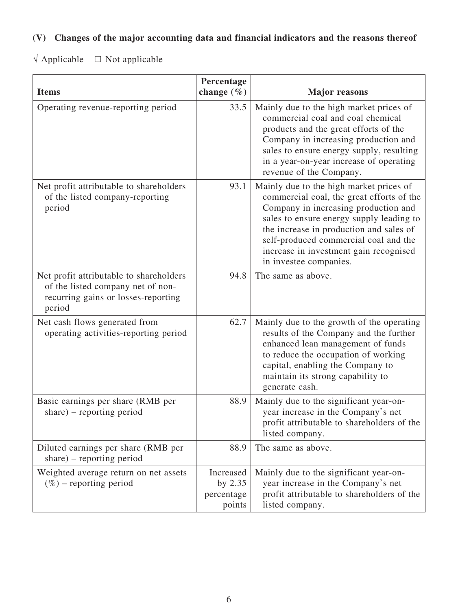# **(V) Changes of the major accounting data and financial indicators and the reasons thereof**

 $\sqrt{\text{Applied}} = \square$  Not applicable

| <b>Items</b>                                                                                                                  | Percentage<br>change $(\% )$                   | <b>Major</b> reasons                                                                                                                                                                                                                                                                                                             |
|-------------------------------------------------------------------------------------------------------------------------------|------------------------------------------------|----------------------------------------------------------------------------------------------------------------------------------------------------------------------------------------------------------------------------------------------------------------------------------------------------------------------------------|
| Operating revenue-reporting period                                                                                            | 33.5                                           | Mainly due to the high market prices of<br>commercial coal and coal chemical<br>products and the great efforts of the<br>Company in increasing production and<br>sales to ensure energy supply, resulting<br>in a year-on-year increase of operating<br>revenue of the Company.                                                  |
| Net profit attributable to shareholders<br>of the listed company-reporting<br>period                                          | 93.1                                           | Mainly due to the high market prices of<br>commercial coal, the great efforts of the<br>Company in increasing production and<br>sales to ensure energy supply leading to<br>the increase in production and sales of<br>self-produced commercial coal and the<br>increase in investment gain recognised<br>in investee companies. |
| Net profit attributable to shareholders<br>of the listed company net of non-<br>recurring gains or losses-reporting<br>period | 94.8                                           | The same as above.                                                                                                                                                                                                                                                                                                               |
| Net cash flows generated from<br>operating activities-reporting period                                                        | 62.7                                           | Mainly due to the growth of the operating<br>results of the Company and the further<br>enhanced lean management of funds<br>to reduce the occupation of working<br>capital, enabling the Company to<br>maintain its strong capability to<br>generate cash.                                                                       |
| Basic earnings per share (RMB per<br>share) – reporting period                                                                | 88.9                                           | Mainly due to the significant year-on-<br>year increase in the Company's net<br>profit attributable to shareholders of the<br>listed company.                                                                                                                                                                                    |
| Diluted earnings per share (RMB per<br>share) – reporting period                                                              | 88.9                                           | The same as above.                                                                                                                                                                                                                                                                                                               |
| Weighted average return on net assets<br>$(\%)$ – reporting period                                                            | Increased<br>by $2.35$<br>percentage<br>points | Mainly due to the significant year-on-<br>year increase in the Company's net<br>profit attributable to shareholders of the<br>listed company.                                                                                                                                                                                    |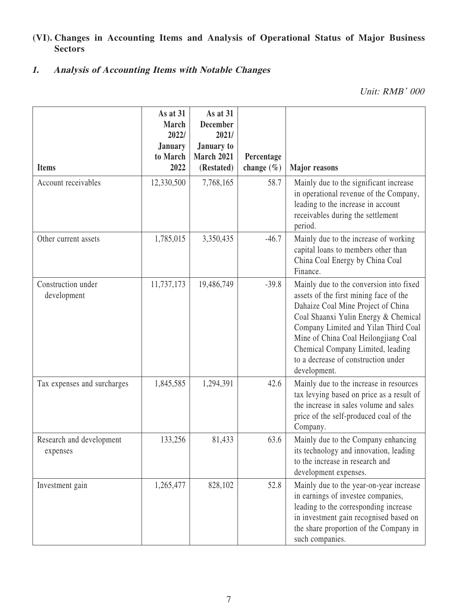# **(VI). Changes in Accounting Items and Analysis of Operational Status of Major Business Sectors**

# **1. Analysis of Accounting Items with Notable Changes**

Unit: RMB' 000

| <b>Items</b>                         | As at 31<br><b>March</b><br>2022/<br><b>January</b><br>to March<br>2022 | As at $31$<br><b>December</b><br>2021/<br><b>January to</b><br><b>March 2021</b> | Percentage             |                                                                                                                                                                                                                                                                                                                                             |
|--------------------------------------|-------------------------------------------------------------------------|----------------------------------------------------------------------------------|------------------------|---------------------------------------------------------------------------------------------------------------------------------------------------------------------------------------------------------------------------------------------------------------------------------------------------------------------------------------------|
| Account receivables                  | 12,330,500                                                              | (Restated)<br>7,768,165                                                          | change $(\% )$<br>58.7 | <b>Major</b> reasons<br>Mainly due to the significant increase                                                                                                                                                                                                                                                                              |
|                                      |                                                                         |                                                                                  |                        | in operational revenue of the Company,<br>leading to the increase in account<br>receivables during the settlement<br>period.                                                                                                                                                                                                                |
| Other current assets                 | 1,785,015                                                               | 3,350,435                                                                        | $-46.7$                | Mainly due to the increase of working<br>capital loans to members other than<br>China Coal Energy by China Coal<br>Finance.                                                                                                                                                                                                                 |
| Construction under<br>development    | 11,737,173                                                              | 19,486,749                                                                       | $-39.8$                | Mainly due to the conversion into fixed<br>assets of the first mining face of the<br>Dahaize Coal Mine Project of China<br>Coal Shaanxi Yulin Energy & Chemical<br>Company Limited and Yilan Third Coal<br>Mine of China Coal Heilongjiang Coal<br>Chemical Company Limited, leading<br>to a decrease of construction under<br>development. |
| Tax expenses and surcharges          | 1,845,585                                                               | 1,294,391                                                                        | 42.6                   | Mainly due to the increase in resources<br>tax levying based on price as a result of<br>the increase in sales volume and sales<br>price of the self-produced coal of the<br>Company.                                                                                                                                                        |
| Research and development<br>expenses | 133,256                                                                 | 81,433                                                                           | 63.6                   | Mainly due to the Company enhancing<br>its technology and innovation, leading<br>to the increase in research and<br>development expenses.                                                                                                                                                                                                   |
| Investment gain                      | 1,265,477                                                               | 828,102                                                                          | 52.8                   | Mainly due to the year-on-year increase<br>in earnings of investee companies,<br>leading to the corresponding increase<br>in investment gain recognised based on<br>the share proportion of the Company in<br>such companies.                                                                                                               |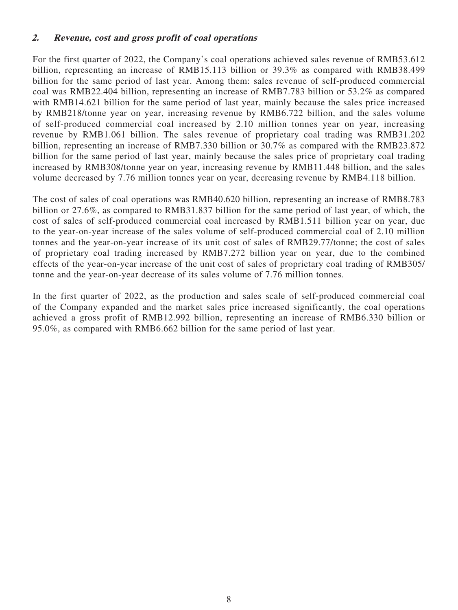#### **2. Revenue, cost and gross profit of coal operations**

For the first quarter of 2022, the Company's coal operations achieved sales revenue of RMB53.612 billion, representing an increase of RMB15.113 billion or 39.3% as compared with RMB38.499 billion for the same period of last year. Among them: sales revenue of self-produced commercial coal was RMB22.404 billion, representing an increase of RMB7.783 billion or 53.2% as compared with RMB14.621 billion for the same period of last year, mainly because the sales price increased by RMB218/tonne year on year, increasing revenue by RMB6.722 billion, and the sales volume of self-produced commercial coal increased by 2.10 million tonnes year on year, increasing revenue by RMB1.061 billion. The sales revenue of proprietary coal trading was RMB31.202 billion, representing an increase of RMB7.330 billion or 30.7% as compared with the RMB23.872 billion for the same period of last year, mainly because the sales price of proprietary coal trading increased by RMB308/tonne year on year, increasing revenue by RMB11.448 billion, and the sales volume decreased by 7.76 million tonnes year on year, decreasing revenue by RMB4.118 billion.

The cost of sales of coal operations was RMB40.620 billion, representing an increase of RMB8.783 billion or 27.6%, as compared to RMB31.837 billion for the same period of last year, of which, the cost of sales of self-produced commercial coal increased by RMB1.511 billion year on year, due to the year-on-year increase of the sales volume of self-produced commercial coal of 2.10 million tonnes and the year-on-year increase of its unit cost of sales of RMB29.77/tonne; the cost of sales of proprietary coal trading increased by RMB7.272 billion year on year, due to the combined effects of the year-on-year increase of the unit cost of sales of proprietary coal trading of RMB305/ tonne and the year-on-year decrease of its sales volume of 7.76 million tonnes.

In the first quarter of 2022, as the production and sales scale of self-produced commercial coal of the Company expanded and the market sales price increased significantly, the coal operations achieved a gross profit of RMB12.992 billion, representing an increase of RMB6.330 billion or 95.0%, as compared with RMB6.662 billion for the same period of last year.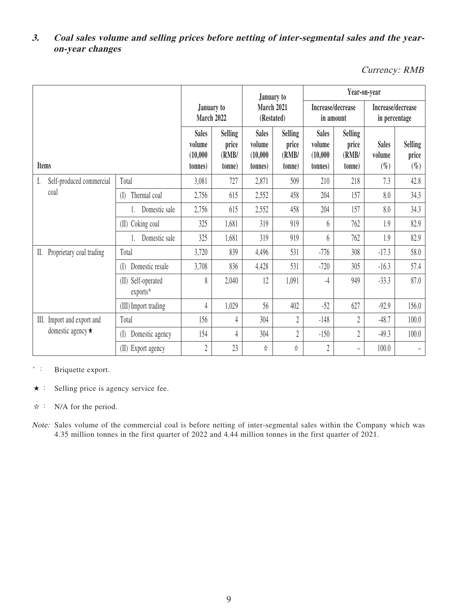# **3. Coal sales volume and selling prices before netting of inter-segmental sales and the yearon-year changes**

Currency: RMB

|    |                            |                                     |                                               |                                            | January to                                     |                                            | Year-on-year                                   |                                            |                                   |                                   |
|----|----------------------------|-------------------------------------|-----------------------------------------------|--------------------------------------------|------------------------------------------------|--------------------------------------------|------------------------------------------------|--------------------------------------------|-----------------------------------|-----------------------------------|
|    |                            | January to<br>March 2022            |                                               | March 2021<br>(Restated)                   |                                                | Increase/decrease<br>in amount             |                                                | Increase/decrease<br>in percentage         |                                   |                                   |
|    | <b>Items</b>               |                                     | <b>Sales</b><br>volume<br>(10,000)<br>tonnes) | <b>Selling</b><br>price<br>(RMB/<br>(tonne | <b>Sales</b><br>volume<br>(10,000)<br>(tonnes) | <b>Selling</b><br>price<br>(RMB/<br>(tonne | <b>Sales</b><br>volume<br>(10,000)<br>(tonnes) | <b>Selling</b><br>price<br>(RMB/<br>tonne) | <b>Sales</b><br>volume<br>$(\% )$ | <b>Selling</b><br>price<br>$(\%)$ |
| I. | Self-produced commercial   | Total                               | 3,081                                         | 727                                        | 2,871                                          | 509                                        | 210                                            | 218                                        | 7.3                               | 42.8                              |
|    | coal                       | Thermal coal<br>$($ [] $)$          | 2,756                                         | 615                                        | 2,552                                          | 458                                        | 204                                            | 157                                        | 8.0                               | 34.3                              |
|    |                            | Domestic sale                       | 2,756                                         | 615                                        | 2,552                                          | 458                                        | 204                                            | 157                                        | 8.0                               | 34.3                              |
|    |                            | Coking coal<br>(II)                 | 325                                           | 1,681                                      | 319                                            | 919                                        | 6                                              | 762                                        | 1.9                               | 82.9                              |
|    |                            | Domestic sale                       | 325                                           | 1,681                                      | 319                                            | 919                                        | 6                                              | 762                                        | 1.9                               | 82.9                              |
| Ш. | Proprietary coal trading   | Total                               | 3,720                                         | 839                                        | 4,496                                          | 531                                        | $-776$                                         | 308                                        | $-17.3$                           | 58.0                              |
|    |                            | Domestic resale<br>(I)              | 3,708                                         | 836                                        | 4,428                                          | 531                                        | $-720$                                         | 305                                        | $-16.3$                           | 57.4                              |
|    |                            | Self-operated<br>(II)<br>$exports*$ | 8                                             | 2,040                                      | 12                                             | 1,091                                      | $-4$                                           | 949                                        | $-33.3$                           | 87.0                              |
|    |                            | (III) Import trading                | $\overline{4}$                                | 1,029                                      | 56                                             | 402                                        | $-52$                                          | 627                                        | $-92.9$                           | 156.0                             |
|    | III. Import and export and | Total                               | 156                                           | 4                                          | 304                                            | $\overline{2}$                             | $-148$                                         | $\overline{2}$                             | $-48.7$                           | 100.0                             |
|    | domestic agency $\star$    | Domestic agency<br>(I)              | 154                                           | 4                                          | 304                                            | $\overline{2}$                             | $-150$                                         | $\overline{2}$                             | $-49.3$                           | 100.0                             |
|    |                            | (II) Export agency                  | $\overline{2}$                                | 23                                         | ☆                                              | ☆                                          | $\overline{2}$                                 | $\overline{\phantom{0}}$                   | 100.0                             | $\overline{\phantom{0}}$          |

\* : Briquette export.

★: Selling price is agency service fee.

☆: N/A for the period.

Note: Sales volume of the commercial coal is before netting of inter-segmental sales within the Company which was 4.35 million tonnes in the first quarter of 2022 and 4.44 million tonnes in the first quarter of 2021.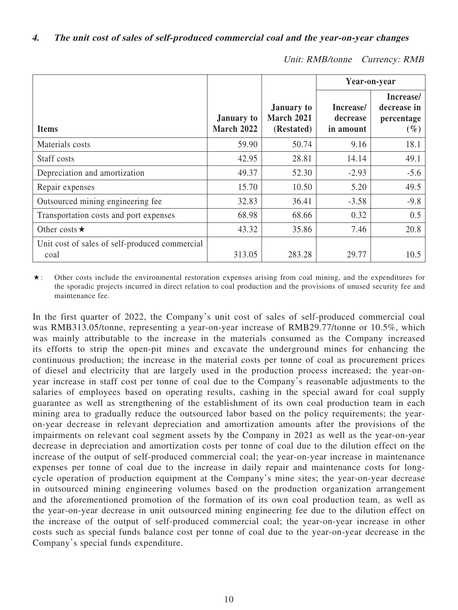|                                                        |                                        |                                                      | Year-on-year                       |                                                  |  |
|--------------------------------------------------------|----------------------------------------|------------------------------------------------------|------------------------------------|--------------------------------------------------|--|
| <b>Items</b>                                           | <b>January to</b><br><b>March 2022</b> | <b>January to</b><br><b>March 2021</b><br>(Restated) | Increase/<br>decrease<br>in amount | Increase/<br>decrease in<br>percentage<br>$(\%)$ |  |
| Materials costs                                        | 59.90                                  | 50.74                                                | 9.16                               | 18.1                                             |  |
| Staff costs                                            | 42.95                                  | 28.81                                                | 14.14                              | 49.1                                             |  |
| Depreciation and amortization                          | 49.37                                  | 52.30                                                | $-2.93$                            | $-5.6$                                           |  |
| Repair expenses                                        | 15.70                                  | 10.50                                                | 5.20                               | 49.5                                             |  |
| Outsourced mining engineering fee                      | 32.83                                  | 36.41                                                | $-3.58$                            | $-9.8$                                           |  |
| Transportation costs and port expenses                 | 68.98                                  | 68.66                                                | 0.32                               | 0.5                                              |  |
| Other costs $\star$                                    | 43.32                                  | 35.86                                                | 7.46                               | 20.8                                             |  |
| Unit cost of sales of self-produced commercial<br>coal | 313.05                                 | 283.28                                               | 29.77                              | 10.5                                             |  |

Unit: RMB/tonne Currency: RMB

★: Other costs include the environmental restoration expenses arising from coal mining, and the expenditures for the sporadic projects incurred in direct relation to coal production and the provisions of unused security fee and maintenance fee.

In the first quarter of 2022, the Company's unit cost of sales of self-produced commercial coal was RMB313.05/tonne, representing a year-on-year increase of RMB29.77/tonne or 10.5%, which was mainly attributable to the increase in the materials consumed as the Company increased its efforts to strip the open-pit mines and excavate the underground mines for enhancing the continuous production; the increase in the material costs per tonne of coal as procurement prices of diesel and electricity that are largely used in the production process increased; the year-onyear increase in staff cost per tonne of coal due to the Company's reasonable adjustments to the salaries of employees based on operating results, cashing in the special award for coal supply guarantee as well as strengthening of the establishment of its own coal production team in each mining area to gradually reduce the outsourced labor based on the policy requirements; the yearon-year decrease in relevant depreciation and amortization amounts after the provisions of the impairments on relevant coal segment assets by the Company in 2021 as well as the year-on-year decrease in depreciation and amortization costs per tonne of coal due to the dilution effect on the increase of the output of self-produced commercial coal; the year-on-year increase in maintenance expenses per tonne of coal due to the increase in daily repair and maintenance costs for longcycle operation of production equipment at the Company's mine sites; the year-on-year decrease in outsourced mining engineering volumes based on the production organization arrangement and the aforementioned promotion of the formation of its own coal production team, as well as the year-on-year decrease in unit outsourced mining engineering fee due to the dilution effect on the increase of the output of self-produced commercial coal; the year-on-year increase in other costs such as special funds balance cost per tonne of coal due to the year-on-year decrease in the Company's special funds expenditure.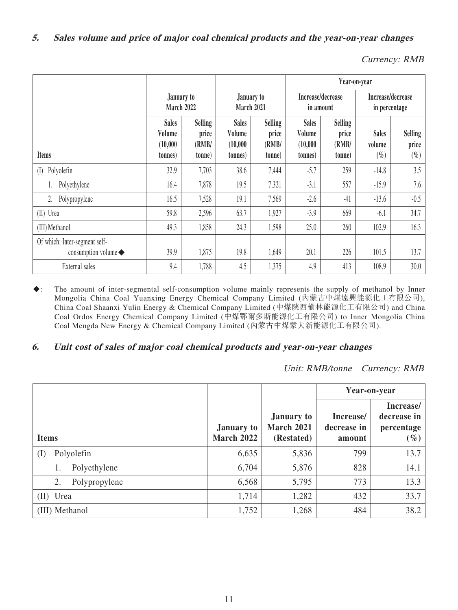Currency: RMB

|                                                                     |                                                |                                            |                                               |                                            | Year-on-year                                  |                                            |                                    |                            |
|---------------------------------------------------------------------|------------------------------------------------|--------------------------------------------|-----------------------------------------------|--------------------------------------------|-----------------------------------------------|--------------------------------------------|------------------------------------|----------------------------|
|                                                                     | January to<br>March 2022                       |                                            | March 2021                                    | January to                                 | Increase/decrease<br>in amount                |                                            | Increase/decrease<br>in percentage |                            |
| <b>Items</b>                                                        | <b>Sales</b><br>Volume<br>(10,000)<br>(tonnes) | <b>Selling</b><br>price<br>(RMB/<br>(tonne | <b>Sales</b><br>Volume<br>(10,000)<br>(tonnes | <b>Selling</b><br>price<br>(RMB/<br>(tonne | <b>Sales</b><br>Volume<br>(10,000)<br>tonnes) | <b>Selling</b><br>price<br>(RMB/<br>tonne) | <b>Sales</b><br>volume<br>$(\%)$   | Selling<br>price<br>$(\%)$ |
| Polyolefin<br>(I)                                                   | 32.9                                           | 7,703                                      | 38.6                                          | 7,444                                      | $-5.7$                                        | 259                                        | $-14.8$                            | 3.5                        |
| Polyethylene                                                        | 16.4                                           | 7,878                                      | 19.5                                          | 7,321                                      | $-3.1$                                        | 557                                        | $-15.9$                            | 7.6                        |
| Polypropylene<br>2.                                                 | 16.5                                           | 7,528                                      | 19.1                                          | 7,569                                      | $-2.6$                                        | $-41$                                      | $-13.6$                            | $-0.5$                     |
| (II) Urea                                                           | 59.8                                           | 2,596                                      | 63.7                                          | 1,927                                      | $-3.9$                                        | 669                                        | $-6.1$                             | 34.7                       |
| (III) Methanol                                                      | 49.3                                           | 1,858                                      | 24.3                                          | 1,598                                      | 25.0                                          | 260                                        | 102.9                              | 16.3                       |
| Of which: Inter-segment self-<br>consumption volume $\blacklozenge$ | 39.9                                           | 1,875                                      | 19.8                                          | 1,649                                      | 20.1                                          | 226                                        | 101.5                              | 13.7                       |
| External sales                                                      | 9.4                                            | 1,788                                      | 4.5                                           | 1,375                                      | 4.9                                           | 413                                        | 108.9                              | 30.0                       |

◆: The amount of inter-segmental self-consumption volume mainly represents the supply of methanol by Inner Mongolia China Coal Yuanxing Energy Chemical Company Limited (內蒙古中煤遠興能源化工有限公司), China Coal Shaanxi Yulin Energy & Chemical Company Limited (中煤陝西榆林能源化工有限公司) and China Coal Ordos Energy Chemical Company Limited (中煤鄂爾多斯能源化工有限公司) to Inner Mongolia China Coal Mengda New Energy & Chemical Company Limited (內蒙古中煤蒙大新能源化工有限公司).

## **6. Unit cost of sales of major coal chemical products and year-on-year changes**

Unit: RMB/tonne Currency: RMB

|                     |                                        |                                                      | Year-on-year                       |                                                  |
|---------------------|----------------------------------------|------------------------------------------------------|------------------------------------|--------------------------------------------------|
| <b>Items</b>        | <b>January to</b><br><b>March 2022</b> | <b>January to</b><br><b>March 2021</b><br>(Restated) | Increase/<br>decrease in<br>amount | Increase/<br>decrease in<br>percentage<br>$(\%)$ |
| Polyolefin<br>(I)   | 6,635                                  | 5,836                                                | 799                                | 13.7                                             |
| Polyethylene        | 6,704                                  | 5,876                                                | 828                                | 14.1                                             |
| 2.<br>Polypropylene | 6,568                                  | 5,795                                                | 773                                | 13.3                                             |
| (II) Urea           | 1,714                                  | 1,282                                                | 432                                | 33.7                                             |
| (III) Methanol      | 1,752                                  | 1,268                                                | 484                                | 38.2                                             |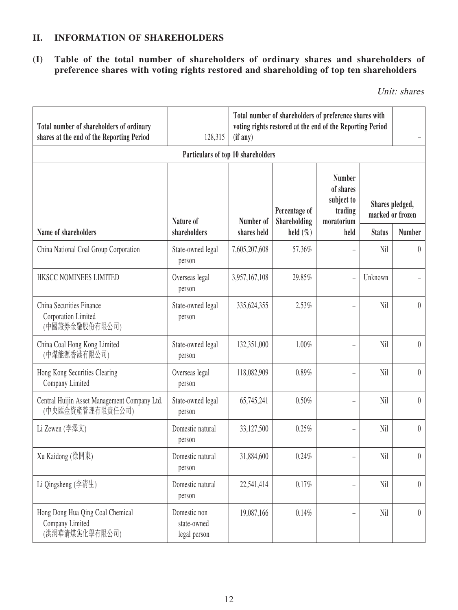# **II. INFORMATION OF SHAREHOLDERS**

**(I) Table of the total number of shareholders of ordinary shares and shareholders of preference shares with voting rights restored and shareholding of top ten shareholders**

Unit: shares

| Total number of shareholders of ordinary<br>shares at the end of the Reporting Period | 128,315                                     | Total number of shareholders of preference shares with<br>voting rights restored at the end of the Reporting Period<br>(if any) |                               |                                                                   |               |                                     |  |
|---------------------------------------------------------------------------------------|---------------------------------------------|---------------------------------------------------------------------------------------------------------------------------------|-------------------------------|-------------------------------------------------------------------|---------------|-------------------------------------|--|
|                                                                                       | Particulars of top 10 shareholders          |                                                                                                                                 |                               |                                                                   |               |                                     |  |
|                                                                                       | Nature of                                   | Number of                                                                                                                       | Percentage of<br>Shareholding | <b>Number</b><br>of shares<br>subject to<br>trading<br>moratorium |               | Shares pledged,<br>marked or frozen |  |
| Name of shareholders                                                                  | shareholders                                | shares held                                                                                                                     | held $(\% )$                  | held                                                              | <b>Status</b> | <b>Number</b>                       |  |
| China National Coal Group Corporation                                                 | State-owned legal<br>person                 | 7,605,207,608                                                                                                                   | 57.36%                        |                                                                   | Nil           | $\overline{0}$                      |  |
| HKSCC NOMINEES LIMITED                                                                | Overseas legal<br>person                    | 3,957,167,108                                                                                                                   | 29.85%                        | $\equiv$                                                          | Unknown       |                                     |  |
| China Securities Finance<br>Corporation Limited<br>(中國證券金融股份有限公司)                     | State-owned legal<br>person                 | 335, 624, 355                                                                                                                   | 2.53%                         |                                                                   | Nil           | $\overline{0}$                      |  |
| China Coal Hong Kong Limited<br>(中煤能源香港有限公司)                                          | State-owned legal<br>person                 | 132,351,000                                                                                                                     | 1.00%                         | $\overline{\phantom{0}}$                                          | Nil           | $\theta$                            |  |
| Hong Kong Securities Clearing<br>Company Limited                                      | Overseas legal<br>person                    | 118,082,909                                                                                                                     | 0.89%                         |                                                                   | Nil           | $\theta$                            |  |
| Central Huijin Asset Management Company Ltd.<br>(中央匯金資產管理有限責任公司)                      | State-owned legal<br>person                 | 65,745,241                                                                                                                      | 0.50%                         | $\overline{\phantom{0}}$                                          | Nil           | $\theta$                            |  |
| Li Zewen $(\frac{2}{3})$ (李澤文)                                                        | Domestic natural<br>person                  | 33,127,500                                                                                                                      | 0.25%                         | ÷                                                                 | Nil           | $\theta$                            |  |
| Xu Kaidong (徐開東)                                                                      | Domestic natural<br>person                  | 31,884,600                                                                                                                      | 0.24%                         | $\overline{\phantom{0}}$                                          | Nil           | $\theta$                            |  |
| Li Qingsheng (李清生)                                                                    | Domestic natural<br>person                  | 22,541,414                                                                                                                      | 0.17%                         | $\overline{\phantom{0}}$                                          | Nil           | $\overline{0}$                      |  |
| Hong Dong Hua Qing Coal Chemical<br>Company Limited<br>(洪洞華清煤焦化學有限公司)                 | Domestic non<br>state-owned<br>legal person | 19,087,166                                                                                                                      | 0.14%                         |                                                                   | Nil           | $\overline{0}$                      |  |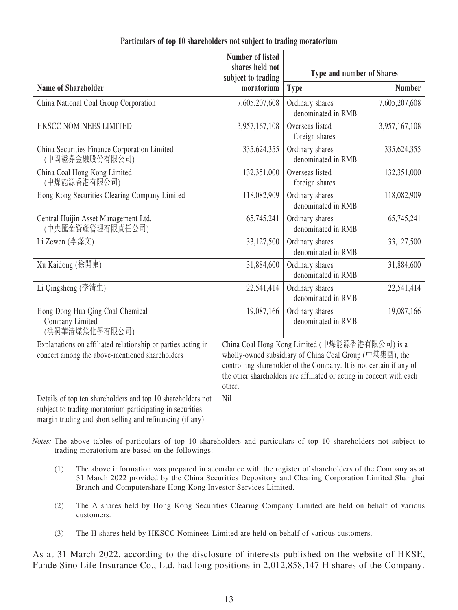| Particulars of top 10 shareholders not subject to trading moratorium                                                                                                                  |                                                                                                                                                                                                                                                                    |                                       |               |  |  |
|---------------------------------------------------------------------------------------------------------------------------------------------------------------------------------------|--------------------------------------------------------------------------------------------------------------------------------------------------------------------------------------------------------------------------------------------------------------------|---------------------------------------|---------------|--|--|
|                                                                                                                                                                                       | <b>Number of listed</b><br>shares held not<br>subject to trading                                                                                                                                                                                                   | <b>Type and number of Shares</b>      |               |  |  |
| <b>Name of Shareholder</b>                                                                                                                                                            | moratorium                                                                                                                                                                                                                                                         | <b>Type</b>                           | <b>Number</b> |  |  |
| China National Coal Group Corporation                                                                                                                                                 | 7,605,207,608                                                                                                                                                                                                                                                      | Ordinary shares<br>denominated in RMB | 7,605,207,608 |  |  |
| HKSCC NOMINEES LIMITED                                                                                                                                                                | 3,957,167,108                                                                                                                                                                                                                                                      | Overseas listed<br>foreign shares     | 3,957,167,108 |  |  |
| China Securities Finance Corporation Limited<br>(中國證券金融股份有限公司)                                                                                                                        | 335,624,355                                                                                                                                                                                                                                                        | Ordinary shares<br>denominated in RMB | 335, 624, 355 |  |  |
| China Coal Hong Kong Limited<br>(中煤能源香港有限公司)                                                                                                                                          | 132,351,000                                                                                                                                                                                                                                                        | Overseas listed<br>foreign shares     | 132,351,000   |  |  |
| Hong Kong Securities Clearing Company Limited                                                                                                                                         | 118,082,909                                                                                                                                                                                                                                                        | Ordinary shares<br>denominated in RMB | 118,082,909   |  |  |
| Central Huijin Asset Management Ltd.<br>(中央匯金資產管理有限責任公司)                                                                                                                              | 65,745,241                                                                                                                                                                                                                                                         | Ordinary shares<br>denominated in RMB | 65,745,241    |  |  |
| Li Zewen (李澤文)                                                                                                                                                                        | 33,127,500                                                                                                                                                                                                                                                         | Ordinary shares<br>denominated in RMB | 33,127,500    |  |  |
| Xu Kaidong (徐開東)                                                                                                                                                                      | 31,884,600                                                                                                                                                                                                                                                         | Ordinary shares<br>denominated in RMB | 31,884,600    |  |  |
| Li Qingsheng (李清生)                                                                                                                                                                    | 22,541,414                                                                                                                                                                                                                                                         | Ordinary shares<br>denominated in RMB | 22,541,414    |  |  |
| Hong Dong Hua Qing Coal Chemical<br>Company Limited<br>(洪洞華清煤焦化學有限公司)                                                                                                                 | 19,087,166                                                                                                                                                                                                                                                         | Ordinary shares<br>denominated in RMB | 19,087,166    |  |  |
| Explanations on affiliated relationship or parties acting in<br>concert among the above-mentioned shareholders                                                                        | China Coal Hong Kong Limited (中煤能源香港有限公司) is a<br>wholly-owned subsidiary of China Coal Group (中煤集團), the<br>controlling shareholder of the Company. It is not certain if any of<br>the other shareholders are affiliated or acting in concert with each<br>other. |                                       |               |  |  |
| Details of top ten shareholders and top 10 shareholders not<br>subject to trading moratorium participating in securities<br>margin trading and short selling and refinancing (if any) | Nil                                                                                                                                                                                                                                                                |                                       |               |  |  |

- Notes: The above tables of particulars of top 10 shareholders and particulars of top 10 shareholders not subject to trading moratorium are based on the followings:
	- (1) The above information was prepared in accordance with the register of shareholders of the Company as at 31 March 2022 provided by the China Securities Depository and Clearing Corporation Limited Shanghai Branch and Computershare Hong Kong Investor Services Limited.
	- (2) The A shares held by Hong Kong Securities Clearing Company Limited are held on behalf of various customers.
	- (3) The H shares held by HKSCC Nominees Limited are held on behalf of various customers.

As at 31 March 2022, according to the disclosure of interests published on the website of HKSE, Funde Sino Life Insurance Co., Ltd. had long positions in 2,012,858,147 H shares of the Company.